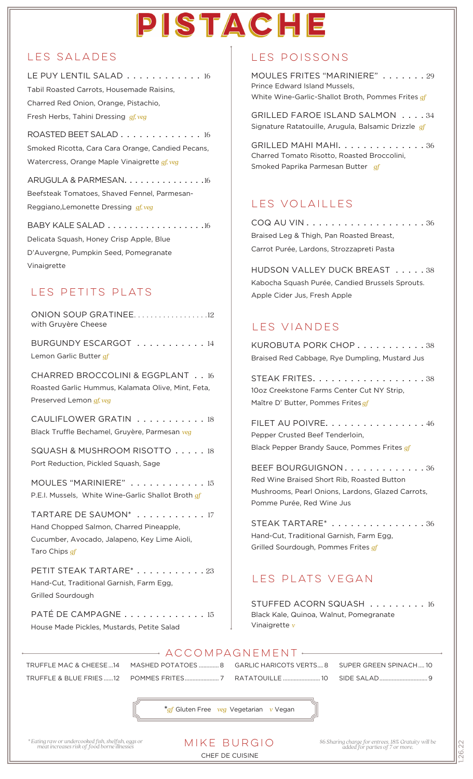## PISTACHE

#### les salades

LE PUY LENTIL SALAD . . . . . . . . . . . 16 Tabil Roasted Carrots, Housemade Raisins, Charred Red Onion, Orange, Pistachio, Fresh Herbs, Tahini Dressing *gf, veg*

ROASTED BEET SALAD . . . . . . . . . . . . . 16 Smoked Ricotta, Cara Cara Orange, Candied Pecans, Watercress, Orange Maple Vinaigrette *gf, veg*

ARUGULA & PARMESAN. . . . . . . . . . . . . . . 16 Beefsteak Tomatoes, Shaved Fennel, Parmesan-Reggiano,Lemonette Dressing *gf, veg*

BABY KALE SALAD . . . . . . . . . . . . . . . . . . 16 Delicata Squash, Honey Crisp Apple, Blue D'Auvergne, Pumpkin Seed, Pomegranate Vinaigrette

## les petits plats

ONION SOUP GRATINEE....................12 with Gruyère Cheese

BURGUNDY ESCARGOT . . . . . . . . . . . 14 Lemon Garlic Butter *gf*

CHARRED BROCCOLINI & EGGPLANT . .16 Roasted Garlic Hummus, Kalamata Olive, Mint, Feta, Preserved Lemon *gf, veg*

CAULIFLOWER GRATIN . . . . . . . . . . . 18 Black Truffle Bechamel, Gruyère, Parmesan *veg*

SQUASH & MUSHROOM RISOTTO . . . . . 18 Port Reduction, Pickled Squash, Sage

MOULES "MARINIERE" . . . . . . . . . . . . 15 P.E.I. Mussels, White Wine-Garlic Shallot Broth *gf*

TARTARE DE SAUMON\* . . . . . . . . . . . 17 Hand Chopped Salmon, Charred Pineapple, Cucumber, Avocado, Jalapeno, Key Lime Aioli, Taro Chips *gf*

PETIT STEAK TARTARE<sup>\*</sup> . . . . . . . . . . . 23 Hand-Cut, Traditional Garnish, Farm Egg, Grilled Sourdough

PATÉ DE CAMPAGNE . . . . . . . . . . . . . 15 House Made Pickles, Mustards, Petite Salad

#### les poissons

MOULES FRITES "MARINIERE" . . . . . . . 29 Prince Edward Island Mussels, White Wine-Garlic-Shallot Broth, Pommes Frites *gf*

GRILLED FAROE ISLAND SALMON . . . . 34 Signature Ratatouille, Arugula, Balsamic Drizzle *gf*

GRILLED MAHI MAHI. . . . . . . . . . . . . . 36 Charred Tomato Risotto, Roasted Broccolini, Smoked Paprika Parmesan Butter *gf*

## les Volailles

COQ AU VIN . . . . . . . . . . . . . . . . . . . 36 Braised Leg & Thigh, Pan Roasted Breast, Carrot Purée, Lardons, Strozzapreti Pasta

HUDSON VALLEY DUCK BREAST . . . . . 38 Kabocha Squash Purée, Candied Brussels Sprouts. Apple Cider Jus, Fresh Apple

### les viandes

KUROBUTA PORK CHOP . . . . . . . . . . . 38 Braised Red Cabbage, Rye Dumpling, Mustard Jus

STEAK FRITES. . . . . . . . . . . . . . . . . . 38 10oz Creekstone Farms Center Cut NY Strip, Maître D' Butter, Pommes Frites *gf*

FILET AU POIVRE. . . . . . . . . . . . . . . . 46 Pepper Crusted Beef Tenderloin, Black Pepper Brandy Sauce, Pommes Frites *gf*

BEEF BOURGUIGNON. . . . . . . . . . . . . 36 Red Wine Braised Short Rib, Roasted Button Mushrooms, Pearl Onions, Lardons, Glazed Carrots, Pomme Purée, Red Wine Jus

STEAK TARTARE\* . . . . . . . . . . . . . . . 36 Hand-Cut, Traditional Garnish, Farm Egg, Grilled Sourdough, Pommes Frites *gf*

## LES PLATS VEGAN

STUFFED ACORN SQUASH . . . . . . . . . 16 Black Kale, Quinoa, Walnut, Pomegranate Vinaigrette *v*

TRUFFLE MAC & CHEESE...14 TRUFFLE & BLUE FRIES ......12

POMMES FRITES...................... 7 RATATOUILLE ........................ 10

MASHED POTATOES ............. 8 GARLIC HARICOTS VERTS....8 SUPER GREEN SPINACH.... 10 SIDE SALAD...............................9

**\****gf* Gluten Free *veg* Vegetarian *v* Vegan

- ACCOMPAGNEMENT -

#### CHEF DE CUISINE